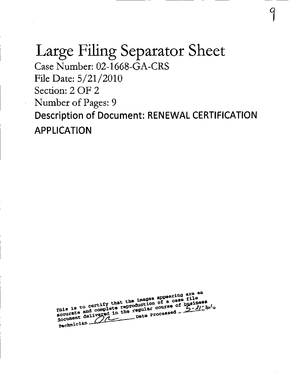# Large Filing Separator Sheet

Case Number: 02-1668-GA-CRS File Date:  $5/21/2010$ Section: 2 OF 2 Number of Pages: 9 Description of Document: RENEWAL CERTIFICATION APPLICATION

9

rnis is to certify that the images appearing are ab<br>rnis is to certify that the images appearing are ab<br>rnis is to certify that the images of a case file<br>courate and usered in the regular course of by all. mis is to certify that the images appearing are an<br>equisible to control of a case file<br>accurate and complete regular course of business<br>document delivered in the regular course of business<br>pechanician  $5.2120$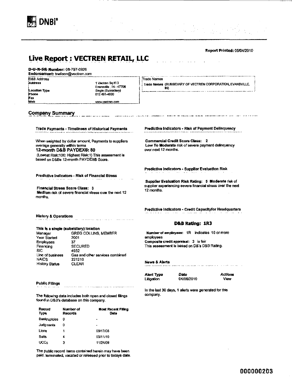

Report Printed: 05/04/2010

## Live Report: VECTREN RETAIL, LLC

D-U-N-S<sup>®</sup> Number: 06-797-0926 Endorsement: [trwilson@vectren.com](mailto:trwilson@vectren.com)

D&B Address

Location Type Phone Fax **Web** 

1 Vectren Sq Fl 3 Evansville, IN-47708 Single (Subsidiary) 812 491-4000 [www.vectran.com](http://www.vectran.com)

Frade Names

Trade Names (SUBSIDIARY OF VECTREN CORPORATION, EVANSVILLE, IN)

Company Summary

When weighted by dollar amount, Payments to suppliers average generally within terms 12-month D&B PAYDEX®: 80

(Lowest Risk:100; Highest Risk:1) This assessment is based on D&Bs 12-month PAYDEX® Score.

Predictive Indicators - Risk of Financial Stress

Financial Stress Score Class: 3 Medium risk of severe financial stress over the next 12 months.

Trade Payments - Timeliness of Historical Payments Predictive Indicators - Risk of Payment Delinquency

Commercial Credit Score Class: 2 Low To Moderate risk of severe payment delinquency overnext 12 months.

Predictive Indicators - Supplier Evaluation Risk

Supplier Evaluation Risk Rating: 5 Moderate risk of supplier experiencing severe financial stress over the next 12 months.

Predictive Indicators - Credit Capacityfor Headquarters  $1.111 - 2.22$ 

History & Operations

#### This is a single (subsidiary) location

| Manager          | <b>GREG COLLINS, MEMBER</b>     |
|------------------|---------------------------------|
| Year Started     | 2001                            |
| <b>Employees</b> | 37                              |
| Financing        | <b>SECURED</b>                  |
| SIC              | 4932                            |
| Line of business | Gas and other services combined |
| <b>NAICS</b>     | 221210                          |
| History Status   | CLEAR                           |

#### Public Filings

The following data includes both open and closed filings found in D&B's database on this company.

| Record<br>Type | Number of<br>Records | <b>Most Recent Filing</b><br>Date |
|----------------|----------------------|-----------------------------------|
| Bankruptcies   | o                    | -                                 |
| Judgments      | o                    | ٠                                 |
| Liens          | 1                    | 09/17/08                          |
| Suits          |                      | 03/11/10                          |
| <b>UCCs</b>    | 3                    | 11/24/09                          |

The public record items contained herein may have been paid, temiinated, vacated or released prior to todays date. D&B Rating: 1R3

Number of employees: IR indicates 10 or more employees Composite credit appraisal: 3 is fair This assessment is based on D&'s D&B Rating.

News & Alerts

Alert Type Date Actions

Litigation 04/06/2010 View

In the last 30 days, 1 alerts were generated for this company.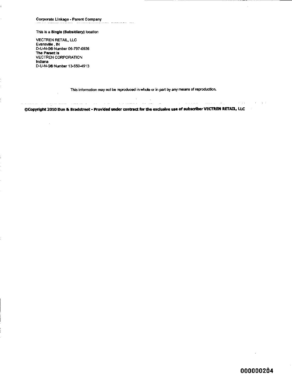#### This is a Single (Subsidiary) location

VECTREN RETAIL, LLC Evansville, IN D-U-N-S® Number 06-797-0926 The Parent Is VECTREN CORPORATION Indiana D-U-N-S® Number 13-550-4913

ļ.

This information may not be reproduced in whole or in part by any means of reproduction.

الرابطة المدعسين المتعلم فتطلب مامال

 $\sim 100$  km s  $^{-1}$ 

©Copyright 2010 Dun & Bradstreet - Provided under contract for the exclusive use of subscriber VECTREN RETAIL^ LLC

ال المدير المؤمنين المستقبلين والتي العربي التواصل المدير المستخدم السعود المواصل والمحترم المناسبة

 $\sim$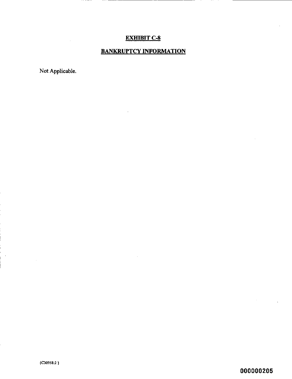# EXHIBIT C-8

# BANKRUPTCY INFORMATION

Not Applicable.

 $\epsilon$ 

000000205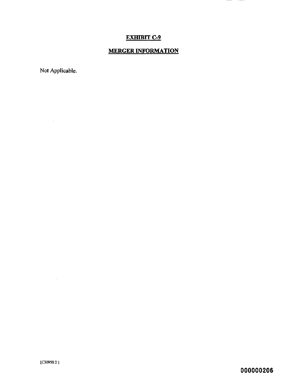## EXHIBIT C-9

 $\sim 10^7$ 

# MERGER INFORMATION

Not Applicable.

 $\mathcal{L}^{\text{max}}_{\text{max}}$ 

 $\mathcal{L}^{\text{max}}_{\text{max}}$  and  $\mathcal{L}^{\text{max}}_{\text{max}}$ 

000000206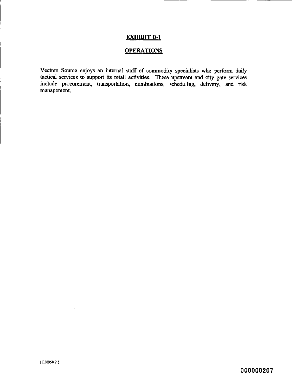#### EXHIBIT D-1

## **OPERATIONS**

Vectren Source enjoys an internal staff of commodity specialists who perfonn daily tactical services to support its retail activities. These upstream and city gate services include procurement, transportation, nominations, scheduling, delivery, and risk management.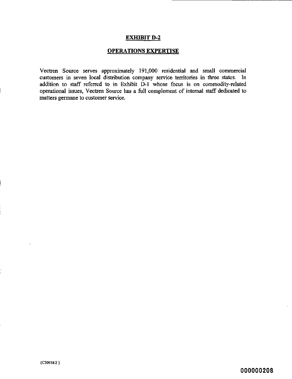## EXHIBIT D-2

## OPERATIONS EXPERTISE

Vectren Source serves approximately 191,000 residential and small commercial customers in seven local distribution company service territories in three states. In addition to staff referred to in Exhibit D-1 whose focus is on commodity-related operational issues, Vectren Source has a full complement of intemal staff dedicated to matters germane to customer service.

000000208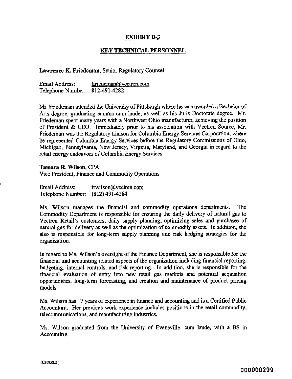### EXHIBIT D-3

### KEY TECHNICAL PERSONNEL

#### Lawrence K. Friedeman, Senior Regulatory Counsel

Email Address: [lfriedeman@vectren.com](mailto:lfriedeman@vectren.com)  Telephone Number: 812-491-4282

Mr. Friedeman attended the University of Pittsburgh where he was awarded a Bachelor of Arts degree, graduating summa cum laude, as well as his Juris Doctorate degree. Nfr. Friedeman spent many years with a Northwest Ohio manufacturer, achieving the position of President & CEO. Immediately prior to his association v^th Vectren Source, Mr. Friedeman was the Regulatory Liaison for Columbia Energy Services Corporation, where he represented Columbia Energy Services before the Regulatory Commissions of Ohio, Michigan, Permsylvania, New Jersey, Virginia, Maryland, and Georgia in regard to the retail energy endeavors of Columbia Energy Services.

Tamara R. Wilson, CPA Vice President, Finance and Conunodity Operations

Email Address: [trwilson@vectren.com](mailto:trwilson@vectren.com) Telephone Number: (812) 491-4284

Ms. Wilson manages the financial and commodity operations departments. The Commodity Department is responsible for ensuring the daily delivery of natural gas to Vectren Retail's customers, daily supply planning, optimizing sales and purchases of natural gas for delivery as well as the optimization of commodity assets. In addition, she also is responsible for long-term supply planning and risk hedging strategies for the organization.

In regard to Ms. Wilson's oversight of the Finance Department, she is responsible for the financial and accounting related aspects of the organization including financial reporting, budgeting, intemal controls, and risk reporting. In addition, she is responsible for the financial evaluation of entry into new retail gas markets and potential acquisition opportunities, long-term forecasting, and creation and maintenance of product pricing models.

Ms. Wilson has 17 years of experience in finance and accounting and is a Certified Public Accountant. Her previous work experience includes positions in the retail commodity, telecommunications, and manufacturing industries.

Ms. Wilson graduated from the University of Evansville, cum laude, with a BS in Accounting.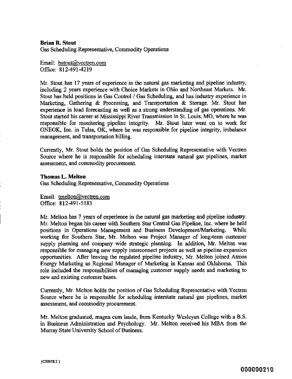Brian R. Stout

Gas Scheduling Representative, Commodity Operations

Email: bstout@vectren.com Office: 812-491-4219

Mr. Stout has 17 years of experience in the natural gas marketing and pipeline industry, including 2 years experience with Choice Markets in Ohio and Northeast Markets. Mr. Stout has held positions in Gas Control / Gas Scheduling, and has industry experience in Marketing, Gathering & Processing, and Transportation & Storage. Mr. Stout has experience in load forecasting as well as a strong understanding of gas operations. Mr. Stout started his career at Mississippi River Transmission in St. Louis, MO, where he was responsible for monitoring pipeline integrity. Mr. Stout later went on to work for ONEOK, Inc. in Tulsa, OK, where he was responsible for pipeline integrity, imbalance management, and transportation billing.

Currently, Mr. Stout holds the position of Gas Scheduling Representative with Vectren Source where he is responsible for scheduling interstate natural gas pipelines, market assessment, and commodity procurement.

Thomas L. Melton Gas Scheduling Representative, Commodity Operations

Email: tmelton@vectren.com Office: 812-491-5183

Mr. Melton has 7 years of experience in the natural gas marketing and pipeline industry. Mr, Melton began his career with Southem Star Central Gas Pipeline, Inc. where he held positions in Operations Management and Business Development/Marketing. While working for Southem Star, Mr. Melton was Project Manager of long-term customer supply planning and company wide strategic planning. In addition, Mr. Melton was responsible for managing new supply interconnect projects as well as pipeline expansion opportunities. After leaving the regulated pipeline industry, Mr. Melton joined Atmos Energy Marketing as Regional Manager of Marketing in Kansas and Oklahoma. This role included the responsibilities of managing customer supply needs and marketing to new and existing customer bases.

Currently, Mr. Melton holds the position of Gas Scheduling Representative with Vectren Source where he is responsible for scheduling interstate natural gas pipelines, market assessment, and commodity procurement.

Mr. Melton graduated, magna cum laude, from Kentucky Wesleyan College with a B.S. in Business Administration and Psychology. Mr. Melton received his MBA from the Murray State University School of Business.